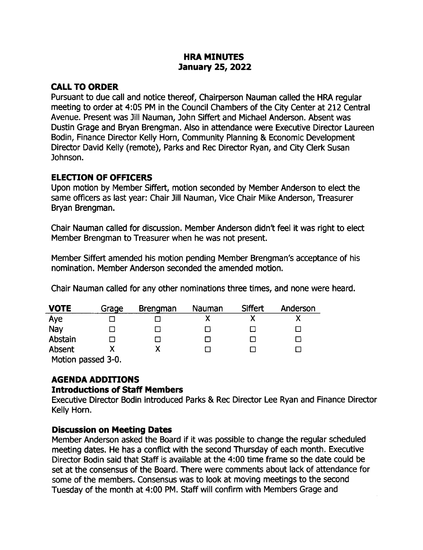### HRA MINUTES anuary 25, 2022

## CALL TO ORDER

Pursuant to due call and notice thereof, Chairperson Nauman called the HRA regular meeting to order at 4:05 PM in the Council Chambers of the City Center at 212 Central Avenue. Present was Jill Nauman, John Siffert and Michael Anderson. Absent was Dustin Grage and Bryan Brengman. Also in attendance were Executive Director Laureen Bodin, Finance Director Kelly Horn, Community Planning & Economic Development Director David Kelly ( remote), Parks and Rec Director Ryan, and City Clerk Susan Johnson.

## ELECTION OF OFFICERS

Upon motion by Member Siffert, motion seconded by Member Anderson to elect the same officers as last year: Chair Jill Nauman, Vice Chair Mike Anderson, Treasurer Bryan Brengman.

Chair Nauman called for discussion. Member Anderson didn't feel it was right to elect Member Brengman to Treasurer when he was not present.

Member Siffert amended his motion pending Member Brengman's acceptance of his nomination. Member Anderson seconded the amended motion.

Chair Nauman called for any other nominations three times, and none were heard.

| <b>VOTE</b>        | Grage | <b>Brengman</b> | Nauman | Siffert | Anderson |  |
|--------------------|-------|-----------------|--------|---------|----------|--|
| Aye                |       |                 |        |         |          |  |
| Nay                |       |                 |        |         |          |  |
| Abstain            |       |                 |        |         |          |  |
| Absent             |       |                 |        |         |          |  |
| Motion passed 3-0. |       |                 |        |         |          |  |

## AGENDA ADDITIONS

### Introductions of Staff Members

Executive Director Bodin introduced Parks & Rec Director Lee Ryan and Finance Director Kelly Horn.

### Discussion on Meeting Dates

Member Anderson asked the Board if it was possible to change the regular scheduled meeting dates. He has a conflict with the second Thursday of each month. Executive Director Bodin said that Staff is available at the 4: 00 time frame so the date could be set at the consensus of the Board. There were comments about lack of attendance for some of the members. Consensus was to look at moving meetings to the second Tuesday of the month at 4:00 PM. Staff will confirm with Members Grage and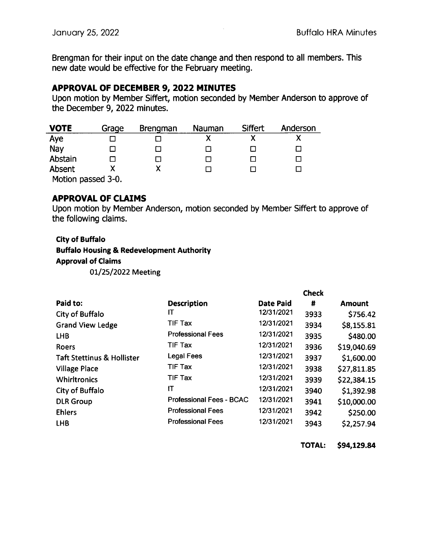Brengman for their input on the date change and then respond to all members. This new date would be effective for the February meeting.

### APPROVAL OF DECEMBER 9, 2022 MINUTES

Upon motion by Member Siffert, motion seconded by Member Anderson to approve of the December 9, 2022 minutes.

| <b>VOTE</b>        | Grage | <b>Brengman</b> | Nauman | Siffert | Anderson |
|--------------------|-------|-----------------|--------|---------|----------|
| Aye                |       |                 | Χ      | χ       |          |
| Nay                |       |                 |        |         |          |
| Abstain            |       |                 |        |         |          |
| Absent             |       |                 |        |         |          |
| Motion passed 3-0. |       |                 |        |         |          |

### APPROVAL OF CLAIMS

Upon motion by Member Anderson, motion seconded by Member Siffert to approve of the following claims.

### City of Buffalo

#### Buffalo Housing& Redevelopment Authority

#### Approval of Claims

01/25/2022 Meeting

|                                       |                                 | <b>Check</b>     |      |               |
|---------------------------------------|---------------------------------|------------------|------|---------------|
| Paid to:                              | <b>Description</b>              | <b>Date Paid</b> | #    | <b>Amount</b> |
| City of Buffalo                       | IТ                              | 12/31/2021       | 3933 | \$756.42      |
| <b>Grand View Ledge</b>               | <b>TIF Tax</b>                  | 12/31/2021       | 3934 | \$8,155.81    |
| <b>LHB</b>                            | <b>Professional Fees</b>        | 12/31/2021       | 3935 | \$480.00      |
| <b>Roers</b>                          | <b>TIF Tax</b>                  | 12/31/2021       | 3936 | \$19,040.69   |
| <b>Taft Stettinus &amp; Hollister</b> | <b>Legal Fees</b>               | 12/31/2021       | 3937 | \$1,600.00    |
| <b>Village Place</b>                  | <b>TIF Tax</b>                  | 12/31/2021       | 3938 | \$27,811.85   |
| <b>Whirltronics</b>                   | <b>TIF Tax</b>                  | 12/31/2021       | 3939 | \$22,384.15   |
| City of Buffalo                       | IT                              | 12/31/2021       | 3940 | \$1,392.98    |
| <b>DLR Group</b>                      | <b>Professional Fees - BCAC</b> | 12/31/2021       | 3941 | \$10,000.00   |
| <b>Ehlers</b>                         | <b>Professional Fees</b>        | 12/31/2021       | 3942 | \$250.00      |
| <b>LHB</b>                            | <b>Professional Fees</b>        | 12/31/2021       | 3943 | \$2,257.94    |

TOTAL: \$94,129.84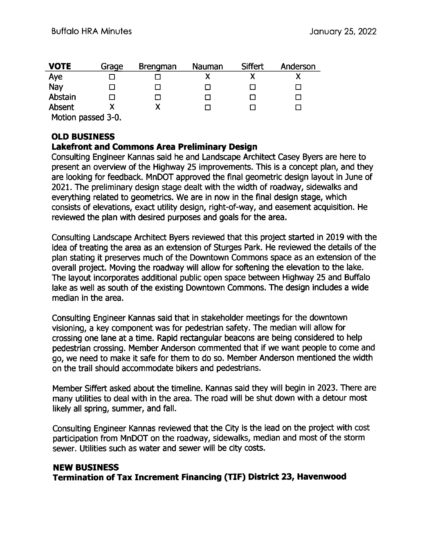| <b>VOTE</b>        | Grage | <b>Brengman</b> | Nauman | Siffert | Anderson |  |
|--------------------|-------|-----------------|--------|---------|----------|--|
| Aye                |       |                 |        |         |          |  |
| Nay                |       |                 |        |         |          |  |
| Abstain            |       |                 |        |         |          |  |
| Absent             |       |                 |        |         |          |  |
| Motion passed 3-0. |       |                 |        |         |          |  |

# OLD BUSINESS

### Lakefront and Commons Area Preliminary Design

Consulting Engineer Kannas said he and Landscape Architect Casey Byers are here to present an overview of the Highway 25 improvements. This is a concept plan, and they are looking for feedback. MnDOT approved the final geometric design layout in June of 2021. The preliminary design stage dealt with the width of roadway, sidewalks and everything related to geometrics. We are in now in the final design stage, which consists of elevations, exact utility design, right-of-way, and easement acquisition. He reviewed the plan with desired purposes and goals for the area.

Consulting Landscape Architect Byers reviewed that this project started in 2019 with the idea of treating the area as an extension of Sturges Park. He reviewed the details of the plan stating it preserves much of the Downtown Commons space as an extension of the overall project. Moving the roadway will allow for softening the elevation to the lake. The layout incorporates additional public open space between Highway 25 and Buffalo lake as well as south of the existing Downtown Commons. The design includes a wide median in the area.

Consulting Engineer Kannas said that in stakeholder meetings for the downtown visioning, a key component was for pedestrian safety. The median will allow for crossing one lane at a time. Rapid rectangular beacons are being considered to help pedestrian crossing. Member Anderson commented that if we want people to come and go, we need to make it safe for them to do so. Member Anderson mentioned the width on the trail should accommodate bikers and pedestrians.

Member Siffert asked about the timeline. Kannas said they will begin in 2023. There are many utilities to deal with in the area. The road will be shut down with a detour most likely all spring, summer, and fall.

Consulting Engineer Kannas reviewed that the City is the lead on the project with cost participation from MnDOT on the roadway, sidewalks, median and most of the storm sewer. Utilities such as water and sewer will be city costs.

# NEW BUSINESS Termination of Tax Increment Financing ( TIF) District 23, Havenwood